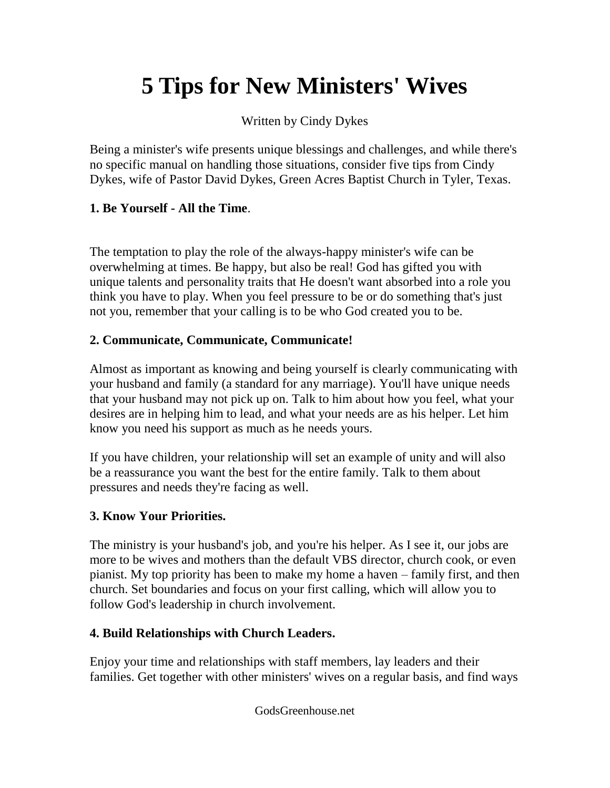# **5 Tips for New Ministers' Wives**

Written by Cindy Dykes

Being a minister's wife presents unique blessings and challenges, and while there's no specific manual on handling those situations, consider five tips from Cindy Dykes, wife of Pastor David Dykes, Green Acres Baptist Church in Tyler, Texas.

### **1. Be Yourself - All the Time**.

The temptation to play the role of the always-happy minister's wife can be overwhelming at times. Be happy, but also be real! God has gifted you with unique talents and personality traits that He doesn't want absorbed into a role you think you have to play. When you feel pressure to be or do something that's just not you, remember that your calling is to be who God created you to be.

### **2. Communicate, Communicate, Communicate!**

Almost as important as knowing and being yourself is clearly communicating with your husband and family (a standard for any marriage). You'll have unique needs that your husband may not pick up on. Talk to him about how you feel, what your desires are in helping him to lead, and what your needs are as his helper. Let him know you need his support as much as he needs yours.

If you have children, your relationship will set an example of unity and will also be a reassurance you want the best for the entire family. Talk to them about pressures and needs they're facing as well.

## **3. Know Your Priorities.**

The ministry is your husband's job, and you're his helper. As I see it, our jobs are more to be wives and mothers than the default VBS director, church cook, or even pianist. My top priority has been to make my home a haven – family first, and then church. Set boundaries and focus on your first calling, which will allow you to follow God's leadership in church involvement.

## **4. Build Relationships with Church Leaders.**

Enjoy your time and relationships with staff members, lay leaders and their families. Get together with other ministers' wives on a regular basis, and find ways